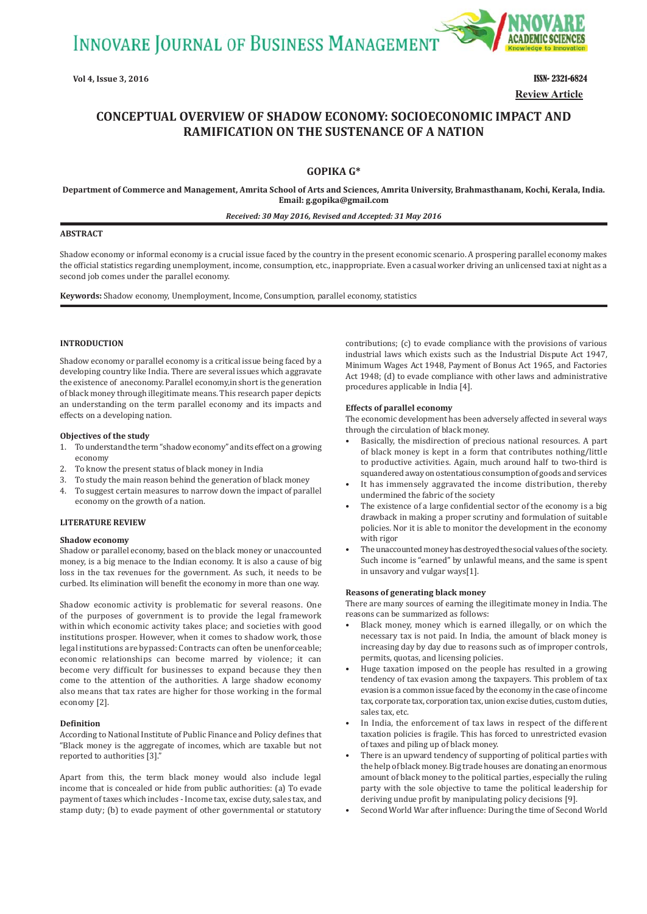**INNOVARE JOURNAL OF BUSINESS MANAGEMENT** 



**Vol 4, Issue 3, 2016 ISSN- 2321-6824 Review Article**

# **CONCEPTUAL OVERVIEW OF SHADOW ECONOMY: SOCIOECONOMIC IMPACT AND RAMIFICATION ON THE SUSTENANCE OF A NATION**

# **GOPIKA G\***

**Department of Commerce and Management, Amrita School of Arts and Sciences, Amrita University, Brahmasthanam, Kochi, Kerala, India. Email: g.gopika@gmail.com**

#### *Received: 30 May 2016, Revised and Accepted: 31 May 2016*

#### **ABSTRACT**

Shadow economy or informal economy is a crucial issue faced by the country in the present economic scenario. A prospering parallel economy makes the official statistics regarding unemployment, income, consumption, etc., inappropriate. Even a casual worker driving an unlicensed taxi at night as a second job comes under the parallel economy.

**Keywords:** Shadow economy, Unemployment, Income, Consumption, parallel economy, statistics

### **INTRODUCTION**

Shadow economy or parallel economy is a critical issue being faced by a developing country like India. There are several issues which aggravate the existence of aneconomy. Parallel economy,in short is the generation of black money through illegitimate means. This research paper depicts an understanding on the term parallel economy and its impacts and effects on a developing nation.

### **Objectives of the study**

- 1. To understand the term "shadow economy" and its effect on a growing economy
- 2. To know the present status of black money in India
- 3. To study the main reason behind the generation of black money
- 4. To suggest certain measures to narrow down the impact of parallel economy on the growth of a nation.

### **LITERATURE REVIEW**

### **Shadow economy**

Shadow or parallel economy, based on the black money or unaccounted money, is a big menace to the Indian economy. It is also a cause of big loss in the tax revenues for the government. As such, it needs to be curbed. Its elimination will benefit the economy in more than one way.

Shadow economic activity is problematic for several reasons. One of the purposes of government is to provide the legal framework within which economic activity takes place; and societies with good institutions prosper. However, when it comes to shadow work, those legal institutions are bypassed: Contracts can often be unenforceable; economic relationships can become marred by violence; it can become very difficult for businesses to expand because they then come to the attention of the authorities. A large shadow economy also means that tax rates are higher for those working in the formal economy [2].

#### **Definition**

According to National Institute of Public Finance and Policy defines that "Black money is the aggregate of incomes, which are taxable but not reported to authorities [3]."

Apart from this, the term black money would also include legal income that is concealed or hide from public authorities: (a) To evade payment of taxes which includes - Income tax, excise duty, sales tax, and stamp duty; (b) to evade payment of other governmental or statutory contributions; (c) to evade compliance with the provisions of various industrial laws which exists such as the Industrial Dispute Act 1947, Minimum Wages Act 1948, Payment of Bonus Act 1965, and Factories Act 1948; (d) to evade compliance with other laws and administrative procedures applicable in India [4].

#### **Effects of parallel economy**

The economic development has been adversely affected in several ways through the circulation of black money.

- Basically, the misdirection of precious national resources. A part of black money is kept in a form that contributes nothing/little to productive activities. Again, much around half to two-third is squandered away on ostentatious consumption of goods and services
- It has immensely aggravated the income distribution, thereby undermined the fabric of the society
- The existence of a large confidential sector of the economy is a big drawback in making a proper scrutiny and formulation of suitable policies. Nor it is able to monitor the development in the economy with rigor
- The unaccounted money has destroyed the social values of the society. Such income is "earned" by unlawful means, and the same is spent in unsavory and vulgar ways[1].

#### **Reasons of generating black money**

There are many sources of earning the illegitimate money in India. The reasons can be summarized as follows:

- Black money, money which is earned illegally, or on which the necessary tax is not paid. In India, the amount of black money is increasing day by day due to reasons such as of improper controls, permits, quotas, and licensing policies.
- Huge taxation imposed on the people has resulted in a growing tendency of tax evasion among the taxpayers. This problem of tax evasion is a common issue faced by the economy in the case of income tax, corporate tax, corporation tax, union excise duties, custom duties, sales tax, etc.
- In India, the enforcement of tax laws in respect of the different taxation policies is fragile. This has forced to unrestricted evasion of taxes and piling up of black money.
- There is an upward tendency of supporting of political parties with the help of black money. Big trade houses are donating an enormous amount of black money to the political parties, especially the ruling party with the sole objective to tame the political leadership for deriving undue profit by manipulating policy decisions [9].
- Second World War after influence: During the time of Second World